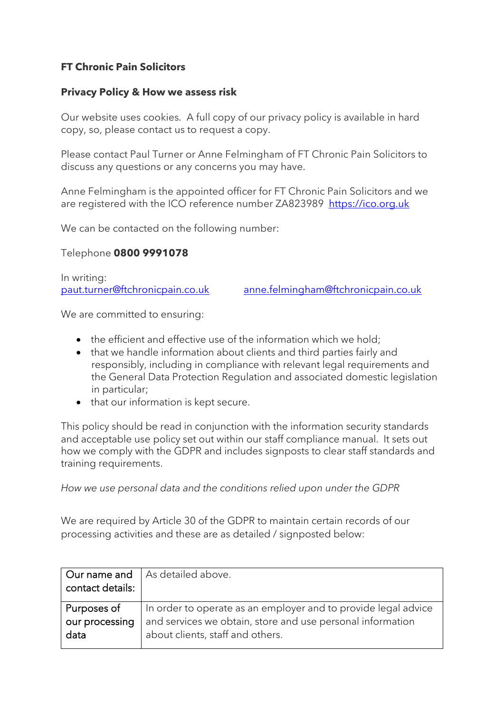# **FT Chronic Pain Solicitors**

#### **Privacy Policy & How we assess risk**

Our website uses cookies. A full copy of our privacy policy is available in hard copy, so, please contact us to request a copy.

Please contact Paul Turner or Anne Felmingham of FT Chronic Pain Solicitors to discuss any questions or any concerns you may have.

Anne Felmingham is the appointed officer for FT Chronic Pain Solicitors and we are registered with the ICO reference number ZA823989 [https://ico.org.uk](https://ico.org.uk/)

We can be contacted on the following number:

Telephone **0800 9991078**

In writing: [paut.turner@ftchronicpain.co.uk](mailto:paut.turner@ftchronicpain.co.uk) [anne.felmingham@ftchronicpain.co.uk](mailto:anne.felmingham@ftchronicpain.co.uk)

We are committed to ensuring:

- the efficient and effective use of the information which we hold:
- that we handle information about clients and third parties fairly and responsibly, including in compliance with relevant legal requirements and the General Data Protection Regulation and associated domestic legislation in particular;
- that our information is kept secure.

This policy should be read in conjunction with the information security standards and acceptable use policy set out within our staff compliance manual. It sets out how we comply with the GDPR and includes signposts to clear staff standards and training requirements.

*How we use personal data and the conditions relied upon under the GDPR*

We are required by Article 30 of the GDPR to maintain certain records of our processing activities and these are as detailed / signposted below:

| contact details:       | Our name and   As detailed above.                                                              |
|------------------------|------------------------------------------------------------------------------------------------|
| Purposes of            | In order to operate as an employer and to provide legal advice                                 |
| our processing<br>data | and services we obtain, store and use personal information<br>about clients, staff and others. |
|                        |                                                                                                |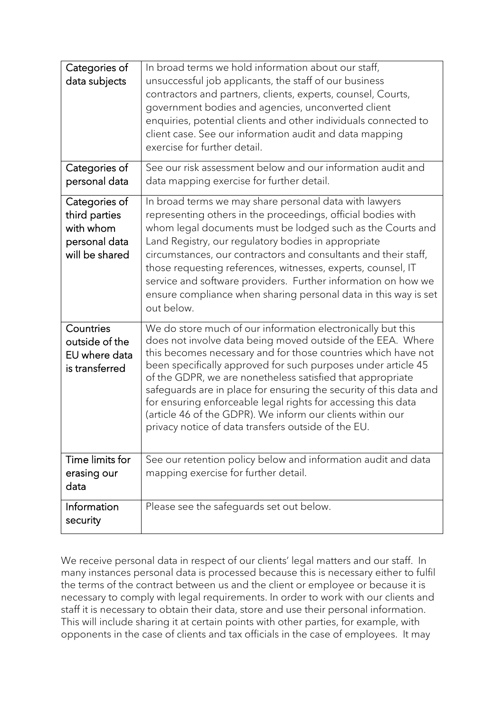| Categories of<br>data subjects                                                 | In broad terms we hold information about our staff,<br>unsuccessful job applicants, the staff of our business<br>contractors and partners, clients, experts, counsel, Courts,<br>government bodies and agencies, unconverted client<br>enquiries, potential clients and other individuals connected to<br>client case. See our information audit and data mapping<br>exercise for further detail.                                                                                                                                                                                      |
|--------------------------------------------------------------------------------|----------------------------------------------------------------------------------------------------------------------------------------------------------------------------------------------------------------------------------------------------------------------------------------------------------------------------------------------------------------------------------------------------------------------------------------------------------------------------------------------------------------------------------------------------------------------------------------|
| Categories of<br>personal data                                                 | See our risk assessment below and our information audit and<br>data mapping exercise for further detail.                                                                                                                                                                                                                                                                                                                                                                                                                                                                               |
| Categories of<br>third parties<br>with whom<br>personal data<br>will be shared | In broad terms we may share personal data with lawyers<br>representing others in the proceedings, official bodies with<br>whom legal documents must be lodged such as the Courts and<br>Land Registry, our regulatory bodies in appropriate<br>circumstances, our contractors and consultants and their staff,<br>those requesting references, witnesses, experts, counsel, IT<br>service and software providers. Further information on how we<br>ensure compliance when sharing personal data in this way is set<br>out below.                                                       |
| Countries<br>outside of the<br>EU where data<br>is transferred                 | We do store much of our information electronically but this<br>does not involve data being moved outside of the EEA. Where<br>this becomes necessary and for those countries which have not<br>been specifically approved for such purposes under article 45<br>of the GDPR, we are nonetheless satisfied that appropriate<br>safeguards are in place for ensuring the security of this data and<br>for ensuring enforceable legal rights for accessing this data<br>(article 46 of the GDPR). We inform our clients within our<br>privacy notice of data transfers outside of the EU. |
| Time limits for<br>erasing our<br>data                                         | See our retention policy below and information audit and data<br>mapping exercise for further detail.                                                                                                                                                                                                                                                                                                                                                                                                                                                                                  |
| Information<br>security                                                        | Please see the safeguards set out below.                                                                                                                                                                                                                                                                                                                                                                                                                                                                                                                                               |

We receive personal data in respect of our clients' legal matters and our staff. In many instances personal data is processed because this is necessary either to fulfil the terms of the contract between us and the client or employee or because it is necessary to comply with legal requirements. In order to work with our clients and staff it is necessary to obtain their data, store and use their personal information. This will include sharing it at certain points with other parties, for example, with opponents in the case of clients and tax officials in the case of employees. It may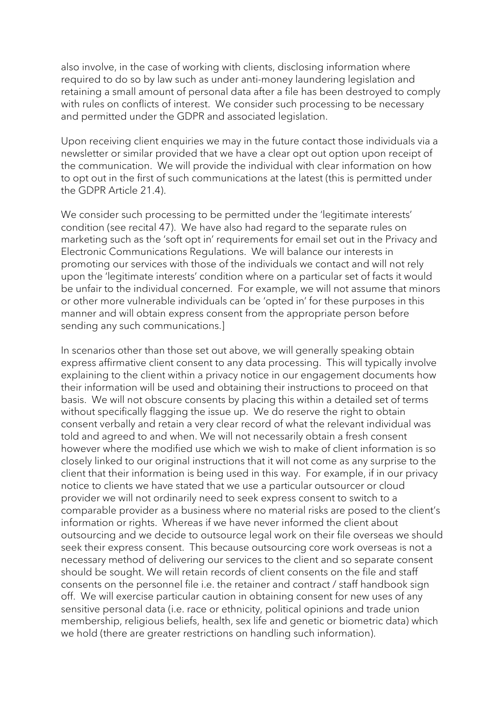also involve, in the case of working with clients, disclosing information where required to do so by law such as under anti-money laundering legislation and retaining a small amount of personal data after a file has been destroyed to comply with rules on conflicts of interest. We consider such processing to be necessary and permitted under the GDPR and associated legislation.

Upon receiving client enquiries we may in the future contact those individuals via a newsletter or similar provided that we have a clear opt out option upon receipt of the communication. We will provide the individual with clear information on how to opt out in the first of such communications at the latest (this is permitted under the GDPR Article 21.4).

We consider such processing to be permitted under the 'legitimate interests' condition (see recital 47). We have also had regard to the separate rules on marketing such as the 'soft opt in' requirements for email set out in the Privacy and Electronic Communications Regulations. We will balance our interests in promoting our services with those of the individuals we contact and will not rely upon the 'legitimate interests' condition where on a particular set of facts it would be unfair to the individual concerned. For example, we will not assume that minors or other more vulnerable individuals can be 'opted in' for these purposes in this manner and will obtain express consent from the appropriate person before sending any such communications.]

In scenarios other than those set out above, we will generally speaking obtain express affirmative client consent to any data processing. This will typically involve explaining to the client within a privacy notice in our engagement documents how their information will be used and obtaining their instructions to proceed on that basis. We will not obscure consents by placing this within a detailed set of terms without specifically flagging the issue up. We do reserve the right to obtain consent verbally and retain a very clear record of what the relevant individual was told and agreed to and when. We will not necessarily obtain a fresh consent however where the modified use which we wish to make of client information is so closely linked to our original instructions that it will not come as any surprise to the client that their information is being used in this way. For example, if in our privacy notice to clients we have stated that we use a particular outsourcer or cloud provider we will not ordinarily need to seek express consent to switch to a comparable provider as a business where no material risks are posed to the client's information or rights. Whereas if we have never informed the client about outsourcing and we decide to outsource legal work on their file overseas we should seek their express consent. This because outsourcing core work overseas is not a necessary method of delivering our services to the client and so separate consent should be sought. We will retain records of client consents on the file and staff consents on the personnel file i.e. the retainer and contract / staff handbook sign off. We will exercise particular caution in obtaining consent for new uses of any sensitive personal data (i.e. race or ethnicity, political opinions and trade union membership, religious beliefs, health, sex life and genetic or biometric data) which we hold (there are greater restrictions on handling such information).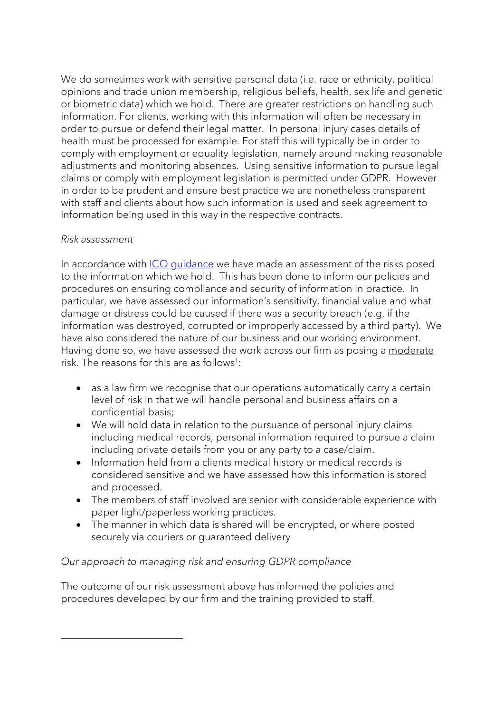We do sometimes work with sensitive personal data (i.e. race or ethnicity, political opinions and trade union membership, religious beliefs, health, sex life and genetic or biometric data) which we hold. There are greater restrictions on handling such information. For clients, working with this information will often be necessary in order to pursue or defend their legal matter. In personal injury cases details of health must be processed for example. For staff this will typically be in order to comply with employment or equality legislation, namely around making reasonable adjustments and monitoring absences. Using sensitive information to pursue legal claims or comply with employment legislation is permitted under GDPR. However in order to be prudent and ensure best practice we are nonetheless transparent with staff and clients about how such information is used and seek agreement to information being used in this way in the respective contracts.

#### *Risk assessment*

In accordance with ICO quidance we have made an assessment of the risks posed to the information which we hold. This has been done to inform our policies and procedures on ensuring compliance and security of information in practice. In particular, we have assessed our information's sensitivity, financial value and what damage or distress could be caused if there was a security breach (e.g. if the information was destroyed, corrupted or improperly accessed by a third party). We have also considered the nature of our business and our working environment. Having done so, we have assessed the work across our firm as posing a moderate risk. The reasons for this are as follows<sup>1</sup>:

- as a law firm we recognise that our operations automatically carry a certain level of risk in that we will handle personal and business affairs on a confidential basis;
- We will hold data in relation to the pursuance of personal injury claims including medical records, personal information required to pursue a claim including private details from you or any party to a case/claim.
- Information held from a clients medical history or medical records is considered sensitive and we have assessed how this information is stored and processed.
- The members of staff involved are senior with considerable experience with paper light/paperless working practices.
- The manner in which data is shared will be encrypted, or where posted securely via couriers or guaranteed delivery

## *Our approach to managing risk and ensuring GDPR compliance*

The outcome of our risk assessment above has informed the policies and procedures developed by our firm and the training provided to staff.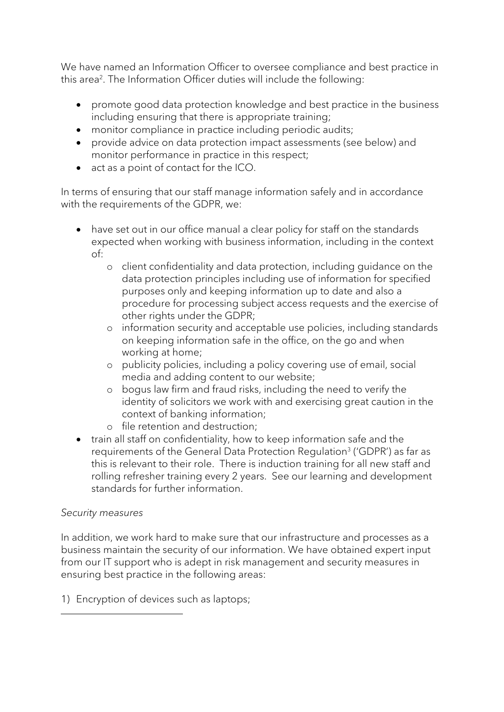We have named an Information Officer to oversee compliance and best practice in this area<sup>2</sup>. The Information Officer duties will include the following:

- promote good data protection knowledge and best practice in the business including ensuring that there is appropriate training;
- monitor compliance in practice including periodic audits;
- provide advice on data protection impact assessments (see below) and monitor performance in practice in this respect;
- act as a point of contact for the ICO.

In terms of ensuring that our staff manage information safely and in accordance with the requirements of the GDPR, we:

- have set out in our office manual a clear policy for staff on the standards expected when working with business information, including in the context of:
	- o client confidentiality and data protection, including guidance on the data protection principles including use of information for specified purposes only and keeping information up to date and also a procedure for processing subject access requests and the exercise of other rights under the GDPR;
	- o information security and acceptable use policies, including standards on keeping information safe in the office, on the go and when working at home;
	- o publicity policies, including a policy covering use of email, social media and adding content to our website;
	- o bogus law firm and fraud risks, including the need to verify the identity of solicitors we work with and exercising great caution in the context of banking information;
	- o file retention and destruction;
- train all staff on confidentiality, how to keep information safe and the requirements of the General Data Protection Regulation<sup>3</sup> ('GDPR') as far as this is relevant to their role. There is induction training for all new staff and rolling refresher training every 2 years. See our learning and development standards for further information.

## *Security measures*

In addition, we work hard to make sure that our infrastructure and processes as a business maintain the security of our information. We have obtained expert input from our IT support who is adept in risk management and security measures in ensuring best practice in the following areas:

1) Encryption of devices such as laptops;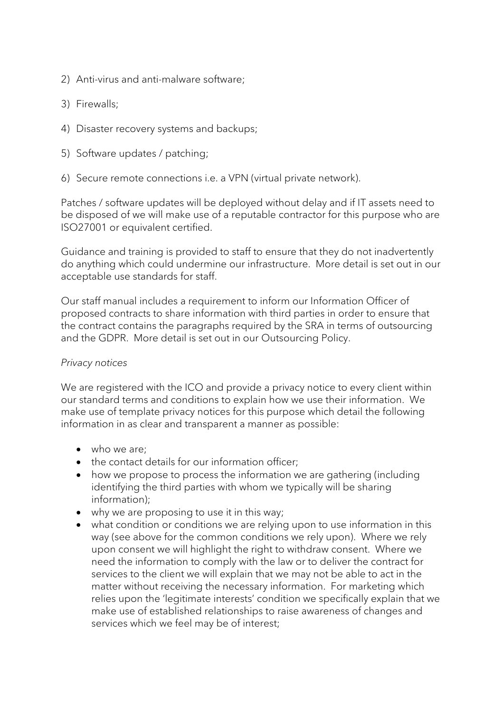- 2) Anti-virus and anti-malware software;
- 3) Firewalls;
- 4) Disaster recovery systems and backups;
- 5) Software updates / patching;
- 6) Secure remote connections i.e. a VPN (virtual private network).

Patches / software updates will be deployed without delay and if IT assets need to be disposed of we will make use of a reputable contractor for this purpose who are ISO27001 or equivalent certified.

Guidance and training is provided to staff to ensure that they do not inadvertently do anything which could undermine our infrastructure. More detail is set out in our acceptable use standards for staff.

Our staff manual includes a requirement to inform our Information Officer of proposed contracts to share information with third parties in order to ensure that the contract contains the paragraphs required by the SRA in terms of outsourcing and the GDPR. More detail is set out in our Outsourcing Policy.

#### *Privacy notices*

We are registered with the ICO and provide a privacy notice to every client within our standard terms and conditions to explain how we use their information. We make use of template privacy notices for this purpose which detail the following information in as clear and transparent a manner as possible:

- who we are:
- the contact details for our information officer;
- how we propose to process the information we are gathering (including identifying the third parties with whom we typically will be sharing information);
- why we are proposing to use it in this way;
- what condition or conditions we are relying upon to use information in this way (see above for the common conditions we rely upon). Where we rely upon consent we will highlight the right to withdraw consent. Where we need the information to comply with the law or to deliver the contract for services to the client we will explain that we may not be able to act in the matter without receiving the necessary information. For marketing which relies upon the 'legitimate interests' condition we specifically explain that we make use of established relationships to raise awareness of changes and services which we feel may be of interest;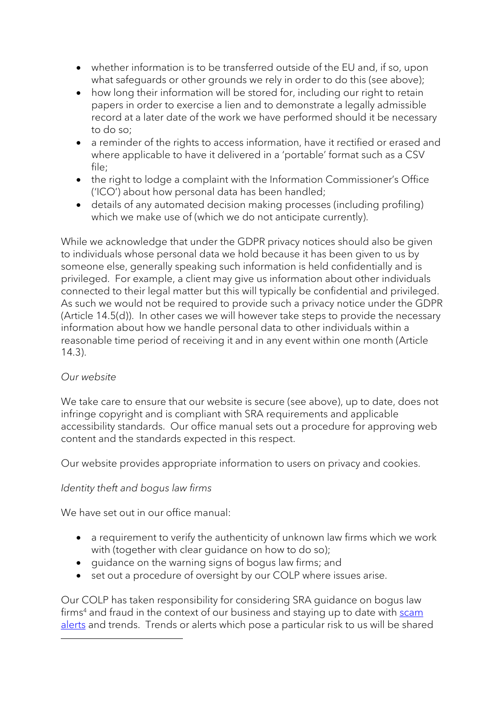- whether information is to be transferred outside of the EU and, if so, upon what safeguards or other grounds we rely in order to do this (see above);
- how long their information will be stored for, including our right to retain papers in order to exercise a lien and to demonstrate a legally admissible record at a later date of the work we have performed should it be necessary to do so;
- a reminder of the rights to access information, have it rectified or erased and where applicable to have it delivered in a 'portable' format such as a CSV file;
- the right to lodge a complaint with the Information Commissioner's Office ('ICO') about how personal data has been handled;
- details of any automated decision making processes (including profiling) which we make use of (which we do not anticipate currently).

While we acknowledge that under the GDPR privacy notices should also be given to individuals whose personal data we hold because it has been given to us by someone else, generally speaking such information is held confidentially and is privileged. For example, a client may give us information about other individuals connected to their legal matter but this will typically be confidential and privileged. As such we would not be required to provide such a privacy notice under the GDPR (Article 14.5(d)). In other cases we will however take steps to provide the necessary information about how we handle personal data to other individuals within a reasonable time period of receiving it and in any event within one month (Article 14.3).

## *Our website*

We take care to ensure that our website is secure (see above), up to date, does not infringe copyright and is compliant with SRA requirements and applicable accessibility standards. Our office manual sets out a procedure for approving web content and the standards expected in this respect.

Our website provides appropriate information to users on privacy and cookies.

## *Identity theft and bogus law firms*

We have set out in our office manual:

- a requirement to verify the authenticity of unknown law firms which we work with (together with clear guidance on how to do so);
- guidance on the warning signs of bogus law firms; and
- set out a procedure of oversight by our COLP where issues arise.

Our COLP has taken responsibility for considering SRA guidance on bogus law firms<sup>4</sup> and fraud in the context of our business and staying up to date with [scam](https://www.sra.org.uk/consumers/scam-alerts/scam-alerts.page) [alerts](https://www.sra.org.uk/consumers/scam-alerts/scam-alerts.page) and trends. Trends or alerts which pose a particular risk to us will be shared